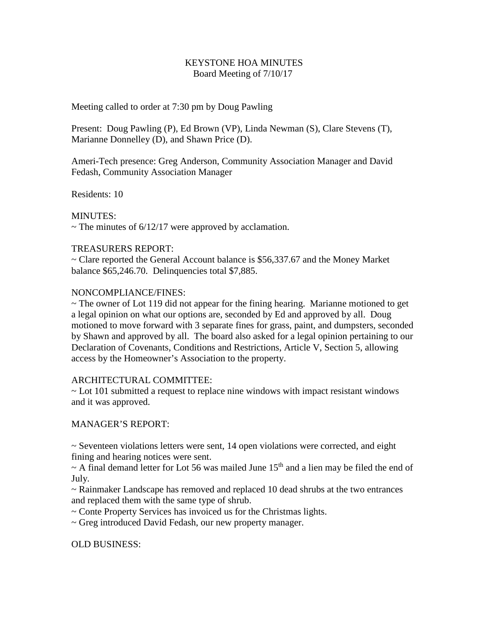## KEYSTONE HOA MINUTES Board Meeting of 7/10/17

Meeting called to order at 7:30 pm by Doug Pawling

Present: Doug Pawling (P), Ed Brown (VP), Linda Newman (S), Clare Stevens (T), Marianne Donnelley (D), and Shawn Price (D).

Ameri-Tech presence: Greg Anderson, Community Association Manager and David Fedash, Community Association Manager

Residents: 10

MINUTES:

 $\sim$  The minutes of 6/12/17 were approved by acclamation.

## TREASURERS REPORT:

~ Clare reported the General Account balance is \$56,337.67 and the Money Market balance \$65,246.70. Delinquencies total \$7,885.

## NONCOMPLIANCE/FINES:

 $\sim$  The owner of Lot 119 did not appear for the fining hearing. Marianne motioned to get a legal opinion on what our options are, seconded by Ed and approved by all. Doug motioned to move forward with 3 separate fines for grass, paint, and dumpsters, seconded by Shawn and approved by all. The board also asked for a legal opinion pertaining to our Declaration of Covenants, Conditions and Restrictions, Article V, Section 5, allowing access by the Homeowner's Association to the property.

#### ARCHITECTURAL COMMITTEE:

 $\sim$  Lot 101 submitted a request to replace nine windows with impact resistant windows and it was approved.

# MANAGER'S REPORT:

 $\sim$  Seventeen violations letters were sent, 14 open violations were corrected, and eight fining and hearing notices were sent.

 $\sim$  A final demand letter for Lot 56 was mailed June 15<sup>th</sup> and a lien may be filed the end of July.

~ Rainmaker Landscape has removed and replaced 10 dead shrubs at the two entrances and replaced them with the same type of shrub.

~ Conte Property Services has invoiced us for the Christmas lights.

~ Greg introduced David Fedash, our new property manager.

OLD BUSINESS: